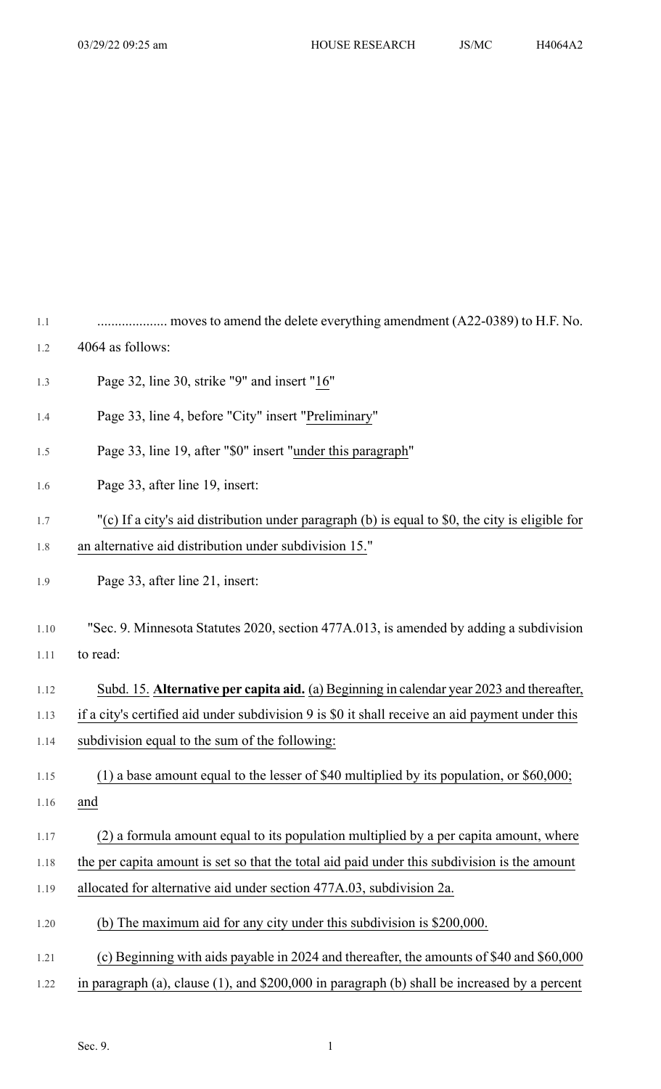| 1.1  | moves to amend the delete everything amendment (A22-0389) to H.F. No.                           |
|------|-------------------------------------------------------------------------------------------------|
| 1.2  | 4064 as follows:                                                                                |
| 1.3  | Page 32, line 30, strike "9" and insert "16"                                                    |
| 1.4  | Page 33, line 4, before "City" insert "Preliminary"                                             |
| 1.5  | Page 33, line 19, after "\$0" insert "under this paragraph"                                     |
| 1.6  | Page 33, after line 19, insert:                                                                 |
| 1.7  | "(c) If a city's aid distribution under paragraph (b) is equal to \$0, the city is eligible for |
| 1.8  | an alternative aid distribution under subdivision 15."                                          |
| 1.9  | Page 33, after line 21, insert:                                                                 |
| 1.10 | "Sec. 9. Minnesota Statutes 2020, section 477A.013, is amended by adding a subdivision          |
| 1.11 | to read:                                                                                        |
| 1.12 | Subd. 15. Alternative per capita aid. (a) Beginning in calendar year 2023 and thereafter,       |
| 1.13 | if a city's certified aid under subdivision 9 is \$0 it shall receive an aid payment under this |
| 1.14 | subdivision equal to the sum of the following:                                                  |
| 1.15 | (1) a base amount equal to the lesser of $$40$ multiplied by its population, or $$60,000$ ;     |
| 1.16 | and                                                                                             |
| 1.17 | (2) a formula amount equal to its population multiplied by a per capita amount, where           |
| 1.18 | the per capita amount is set so that the total aid paid under this subdivision is the amount    |
| 1.19 | allocated for alternative aid under section 477A.03, subdivision 2a.                            |
| 1.20 | (b) The maximum aid for any city under this subdivision is \$200,000.                           |
| 1.21 | (c) Beginning with aids payable in 2024 and thereafter, the amounts of \$40 and \$60,000        |
| 1.22 | in paragraph (a), clause $(1)$ , and \$200,000 in paragraph (b) shall be increased by a percent |